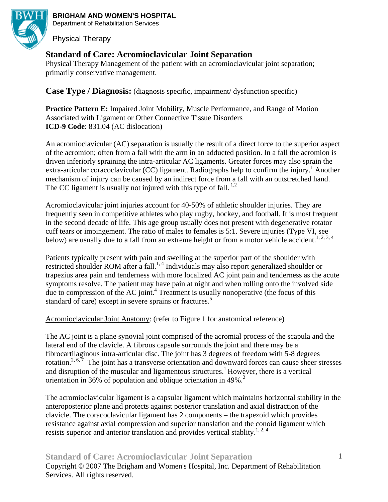

**BRIGHAM AND WOMEN'S HOSPITAL**  Department of Rehabilitation Services

Physical Therapy

# **Standard of Care: Acromioclavicular Joint Separation**

Physical Therapy Management of the patient with an acromioclavicular joint separation; primarily conservative management.

**Case Type / Diagnosis:** (diagnosis specific, impairment/ dysfunction specific)

**Practice Pattern E:** Impaired Joint Mobility, Muscle Performance, and Range of Motion Associated with Ligament or Other Connective Tissue Disorders **ICD-9 Code: 831.04 (AC dislocation)** 

An acromioclavicular (AC) separation is usually the result of a direct force to the superior aspect of the acromion; often from a fall with the arm in an adducted position. In a fall the acromion is driven inferiorly spraining the intra-articular AC ligaments. Greater forces may also sprain the extra-articular coracoclavicular (CC) ligament. Radiographs help to confirm the injury.<sup>1</sup> Another mechanism of injury can be caused by an indirect force from a fall with an outstretched hand. The CC ligament is usually not injured with this type of fall.  $^{1,2}$ 

Acromioclavicular joint injuries account for 40-50% of athletic shoulder injuries. They are frequently seen in competitive athletes who play rugby, hockey, and football. It is most frequent in the second decade of life. This age group usually does not present with degenerative rotator cuff tears or impingement. The ratio of males to females is 5:1. Severe injuries (Type VI, see below) are usually due to a fall from an extreme height or from a motor vehicle accident.<sup>1, 2, 3, 4</sup>

Patients typically present with pain and swelling at the superior part of the shoulder with restricted shoulder ROM after a fall.<sup>1, 4</sup> Individuals may also report generalized shoulder or trapezius area pain and tenderness with more localized AC joint pain and tenderness as the acute symptoms resolve. The patient may have pain at night and when rolling onto the involved side  $\frac{1}{2}$  due to compression of the AC joint.<sup>4</sup> Treatment is usually nonoperative (the focus of this standard of care) except in severe sprains or fractures.<sup>5</sup>

Acromioclavicular Joint Anatomy: (refer to Figure 1 for anatomical reference)

The AC joint is a plane synovial joint comprised of the acromial process of the scapula and the lateral end of the clavicle. A fibrous capsule surrounds the joint and there may be a fibrocartilaginous intra-articular disc. The joint has 3 degrees of freedom with 5-8 degrees rotation.<sup>2, 6, 7</sup> The joint has a transverse orientation and downward forces can cause sheer stresses and disruption of the muscular and ligamentous structures.<sup>1</sup> However, there is a vertical orientation in 36% of population and oblique orientation in 49%.<sup>2</sup>

The acromioclavicular ligament is a capsular ligament which maintains horizontal stability in the anteroposterior plane and protects against posterior translation and axial distraction of the clavicle. The coracoclavicular ligament has 2 components – the trapezoid which provides resistance against axial compression and superior translation and the conoid ligament which resists superior and anterior translation and provides vertical stablity.<sup>1, 2, 4</sup>

# **Standard of Care: Acromioclavicular Joint Separation**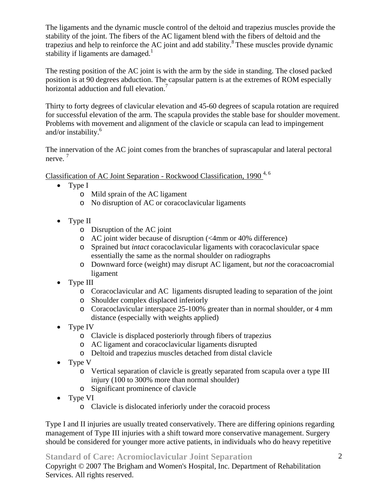The ligaments and the dynamic muscle control of the deltoid and trapezius muscles provide the stability of the joint. The fibers of the AC ligament blend with the fibers of deltoid and the trapezius and help to reinforce the AC joint and add stability.<sup>8</sup> These muscles provide dynamic stability if ligaments are damaged. $1$ 

The resting position of the AC joint is with the arm by the side in standing. The closed packed position is at 90 degrees abduction. The capsular pattern is at the extremes of ROM especially horizontal adduction and full elevation.<sup>7</sup>

Thirty to forty degrees of clavicular elevation and 45-60 degrees of scapula rotation are required for successful elevation of the arm. The scapula provides the stable base for shoulder movement. Problems with movement and alignment of the clavicle or scapula can lead to impingement and/or instability.<sup>6</sup>

The innervation of the AC joint comes from the branches of suprascapular and lateral pectoral nerve.<sup>7</sup>

Classification of AC Joint Separation - Rockwood Classification, 1990<sup>4, 6</sup>

- Type I
	- o Mild sprain of the AC ligament
	- o No disruption of AC or coracoclavicular ligaments
- Type II
	- o Disruption of the AC joint
	- o AC joint wider because of disruption (<4mm or 40% difference)
	- o Sprained but *intact* coracoclavicular ligaments with coracoclavicular space essentially the same as the normal shoulder on radiographs
	- o Downward force (weight) may disrupt AC ligament, but *not* the coracoacromial ligament
- Type III
	- o Coracoclavicular and AC ligaments disrupted leading to separation of the joint
	- o Shoulder complex displaced inferiorly
	- o Coracoclavicular interspace 25-100% greater than in normal shoulder, or 4 mm distance (especially with weights applied)
- Type IV
	- o Clavicle is displaced posteriorly through fibers of trapezius
	- o AC ligament and coracoclavicular ligaments disrupted
	- o Deltoid and trapezius muscles detached from distal clavicle
- Type V
	- o Vertical separation of clavicle is greatly separated from scapula over a type III injury (100 to 300% more than normal shoulder)
	- o Significant prominence of clavicle
- Type VI
	- o Clavicle is dislocated inferiorly under the coracoid process

Type I and II injuries are usually treated conservatively. There are differing opinions regarding management of Type III injuries with a shift toward more conservative management. Surgery should be considered for younger more active patients, in individuals who do heavy repetitive

**Standard of Care: Acromioclavicular Joint Separation**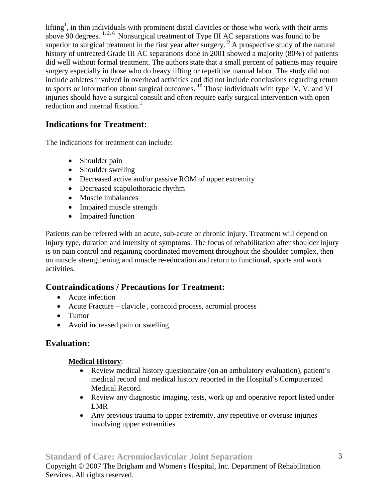lifting<sup>1</sup>, in thin individuals with prominent distal clavicles or those who work with their arms above 90 degrees.  $1, 2, 6$  Nonsurgical treatment of Type III AC separations was found to be superior to surgical treatment in the first year after surgery.  $9A$  prospective study of the natural history of untreated Grade III AC separations done in 2001 showed a majority (80%) of patients did well without formal treatment. The authors state that a small percent of patients may require surgery especially in those who do heavy lifting or repetitive manual labor. The study did not include athletes involved in overhead activities and did not include conclusions regarding return to sports or information about surgical outcomes.  $^{10}$  Those individuals with type IV, V, and VI injuries should have a surgical consult and often require early surgical intervention with open reduction and internal fixation.<sup>1</sup>

# **Indications for Treatment:**

The indications for treatment can include:

- Shoulder pain
- Shoulder swelling
- Decreased active and/or passive ROM of upper extremity
- Decreased scapulothoracic rhythm
- Muscle imbalances
- Impaired muscle strength
- Impaired function

Patients can be referred with an acute, sub-acute or chronic injury. Treatment will depend on injury type, duration and intensity of symptoms. The focus of rehabilitation after shoulder injury is on pain control and regaining coordinated movement throughout the shoulder complex, then on muscle strengthening and muscle re-education and return to functional, sports and work activities.

# **Contraindications / Precautions for Treatment:**

- Acute infection
- Acute Fracture clavicle , coracoid process, acromial process
- Tumor
- Avoid increased pain or swelling

# **Evaluation:**

## **Medical History**:

- Review medical history questionnaire (on an ambulatory evaluation), patient's medical record and medical history reported in the Hospital's Computerized Medical Record.
- Review any diagnostic imaging, tests, work up and operative report listed under LMR
- Any previous trauma to upper extremity, any repetitive or overuse injuries involving upper extremities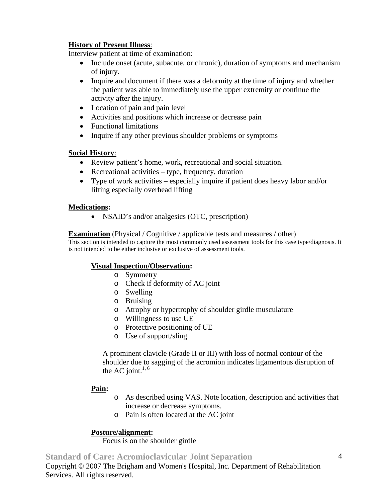## **History of Present Illness**:

Interview patient at time of examination:

- Include onset (acute, subacute, or chronic), duration of symptoms and mechanism of injury.
- Inquire and document if there was a deformity at the time of injury and whether the patient was able to immediately use the upper extremity or continue the activity after the injury.
- Location of pain and pain level
- Activities and positions which increase or decrease pain
- Functional limitations
- Inquire if any other previous shoulder problems or symptoms

## **Social History**:

- Review patient's home, work, recreational and social situation.
- Recreational activities type, frequency, duration
- Type of work activities especially inquire if patient does heavy labor and/or lifting especially overhead lifting

## **Medications:**

• NSAID's and/or analgesics (OTC, prescription)

## **Examination** (Physical / Cognitive / applicable tests and measures / other)

This section is intended to capture the most commonly used assessment tools for this case type/diagnosis. It is not intended to be either inclusive or exclusive of assessment tools.

## **Visual Inspection/Observation:**

- o Symmetry
- o Check if deformity of AC joint
- o Swelling
- o Bruising
- o Atrophy or hypertrophy of shoulder girdle musculature
- o Willingness to use UE
- o Protective positioning of UE
- o Use of support/sling

A prominent clavicle (Grade II or III) with loss of normal contour of the shoulder due to sagging of the acromion indicates ligamentous disruption of the AC joint. $1, 6$ 

## **Pain:**

- o As described using VAS. Note location, description and activities that increase or decrease symptoms.
- o Pain is often located at the AC joint

## **Posture/alignment:**

Focus is on the shoulder girdle

**Standard of Care: Acromioclavicular Joint Separation**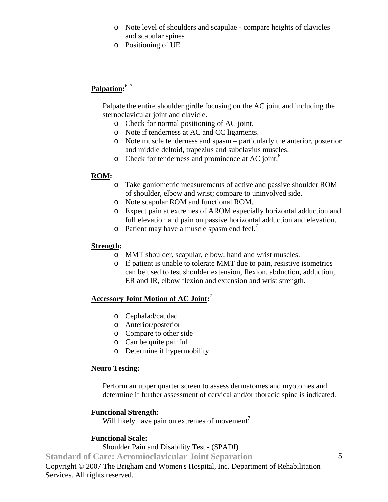- o Note level of shoulders and scapulae compare heights of clavicles and scapular spines
- o Positioning of UE

# **Palpation:** 6, 7

Palpate the entire shoulder girdle focusing on the AC joint and including the sternoclavicular joint and clavicle.

- o Check for normal positioning of AC joint.
- o Note if tenderness at AC and CC ligaments.
- o Note muscle tenderness and spasm particularly the anterior, posterior and middle deltoid, trapezius and subclavius muscles.
- o Check for tenderness and prominence at AC joint.<sup>6</sup>

## **ROM:**

- o Take goniometric measurements of active and passive shoulder ROM of shoulder, elbow and wrist; compare to uninvolved side.
- o Note scapular ROM and functional ROM.
- o Expect pain at extremes of AROM especially horizontal adduction and full elevation and pain on passive horizontal adduction and elevation.
- $\circ$  Patient may have a muscle spasm end feel.<sup>7</sup>

## **Strength:**

- o MMT shoulder, scapular, elbow, hand and wrist muscles.
- o If patient is unable to tolerate MMT due to pain, resistive isometrics can be used to test shoulder extension, flexion, abduction, adduction, ER and IR, elbow flexion and extension and wrist strength.

## **Accessory Joint Motion of AC Joint:** 7

- o Cephalad/caudad
- o Anterior/posterior
- o Compare to other side
- o Can be quite painful
- o Determine if hypermobility

## **Neuro Testing:**

Perform an upper quarter screen to assess dermatomes and myotomes and determine if further assessment of cervical and/or thoracic spine is indicated.

## **Functional Strength:**

Will likely have pain on extremes of movement<sup>7</sup>

## **Functional Scale:**

Shoulder Pain and Disability Test - (SPADI)

**Standard of Care: Acromioclavicular Joint Separation**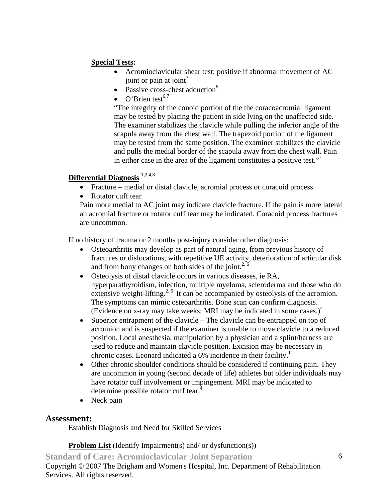## **Special Tests:**

- Acromioclavicular shear test: positive if abnormal movement of AC joint or pain at joint<sup>7</sup>
- Passive cross-chest adduction $<sup>6</sup>$ </sup>
- O'Brien test $^{6,7}$

"The integrity of the conoid portion of the the coracoacromial ligament may be tested by placing the patient in side lying on the unaffected side. The examiner stabilizes the clavicle while pulling the inferior angle of the scapula away from the chest wall. The trapezoid portion of the ligament may be tested from the same position. The examiner stabilizes the clavicle and pulls the medial border of the scapula away from the chest wall. Pain in either case in the area of the ligament constitutes a positive test."

## **Differential Diagnosis** 1,2,4,8

- Fracture medial or distal clavicle, acromial process or coracoid process
- Rotator cuff tear

Pain more medial to AC joint may indicate clavicle fracture. If the pain is more lateral an acromial fracture or rotator cuff tear may be indicated. Coracoid process fractures are uncommon.

If no history of trauma or 2 months post-injury consider other diagnosis:

- Osteoarthritis may develop as part of natural aging, from previous history of fractures or dislocations, with repetitive UE activity, deterioration of articular disk and from bony changes on both sides of the joint.<sup>2, 6</sup>
- Osteolysis of distal clavicle occurs in various diseases, ie RA, hyperparathyroidism, infection, multiple myeloma, scleroderma and those who do extensive weight-lifting.<sup>2, 6</sup> It can be accompanied by osteolysis of the acromion. The symptoms can mimic osteoarthritis. Bone scan can confirm diagnosis. (Evidence on x-ray may take weeks; MRI may be indicated in some cases.)<sup>4</sup>
- Superior entrapment of the clavicle The clavicle can be entrapped on top of acromion and is suspected if the examiner is unable to move clavicle to a reduced position. Local anesthesia, manipulation by a physician and a splint/harness are used to reduce and maintain clavicle position. Excision may be necessary in chronic cases. Leonard indicated a 6% incidence in their facility.<sup>11</sup>
- Other chronic shoulder conditions should be considered if continuing pain. They are uncommon in young (second decade of life) athletes but older individuals may have rotator cuff involvement or impingement. MRI may be indicated to determine possible rotator cuff tear.<sup>4</sup>
- Neck pain

## **Assessment:**

Establish Diagnosis and Need for Skilled Services

## **Problem List** (Identify Impairment(s) and/ or dysfunction(s))

**Standard of Care: Acromioclavicular Joint Separation**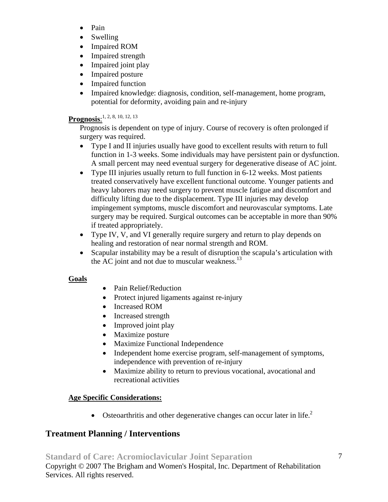- Pain
- Swelling
- Impaired ROM
- Impaired strength
- Impaired joint play
- Impaired posture
- Impaired function
- Impaired knowledge: diagnosis, condition, self-management, home program, potential for deformity, avoiding pain and re-injury

# **Prognosis**: 1, 2, 8, 10, 12, 13

Prognosis is dependent on type of injury. Course of recovery is often prolonged if surgery was required.

- Type I and II injuries usually have good to excellent results with return to full function in 1-3 weeks. Some individuals may have persistent pain or dysfunction. A small percent may need eventual surgery for degenerative disease of AC joint.
- Type III injuries usually return to full function in 6-12 weeks. Most patients treated conservatively have excellent functional outcome. Younger patients and heavy laborers may need surgery to prevent muscle fatigue and discomfort and difficulty lifting due to the displacement. Type III injuries may develop impingement symptoms, muscle discomfort and neurovascular symptoms. Late surgery may be required. Surgical outcomes can be acceptable in more than 90% if treated appropriately.
- Type IV, V, and VI generally require surgery and return to play depends on healing and restoration of near normal strength and ROM.
- Scapular instability may be a result of disruption the scapula's articulation with the AC joint and not due to muscular weakness. $^{13}$

## **Goals**

- Pain Relief/Reduction
- Protect injured ligaments against re-injury
- Increased ROM
- Increased strength
- Improved joint play
- Maximize posture
- Maximize Functional Independence
- Independent home exercise program, self-management of symptoms, independence with prevention of re-injury
- Maximize ability to return to previous vocational, avocational and recreational activities

# **Age Specific Considerations:**

• Osteoarthritis and other degenerative changes can occur later in life.<sup>2</sup>

# **Treatment Planning / Interventions**

**Standard of Care: Acromioclavicular Joint Separation**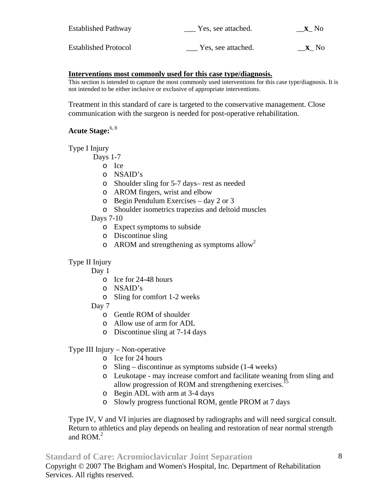| <b>Established Pathway</b>  | Yes, see attached. | <b>X</b> No |
|-----------------------------|--------------------|-------------|
| <b>Established Protocol</b> | Yes, see attached. | <b>X</b> No |

#### **Interventions most commonly used for this case type/diagnosis.**

This section is intended to capture the most commonly used interventions for this case type/diagnosis. It is not intended to be either inclusive or exclusive of appropriate interventions.

Treatment in this standard of care is targeted to the conservative management. Close communication with the surgeon is needed for post-operative rehabilitation.

## **Acute Stage:**6, 8

Type I Injury

Days 1-7

- o Ice
- o NSAID's
- o Shoulder sling for 5-7 days– rest as needed
- o AROM fingers, wrist and elbow
- o Begin Pendulum Exercises day 2 or 3
- o Shoulder isometrics trapezius and deltoid muscles
- Days 7-10
	- o Expect symptoms to subside
	- o Discontinue sling
	- $\circ$  AROM and strengthening as symptoms allow<sup>2</sup>

## Type II Injury

Day 1

- o Ice for 24-48 hours
- o NSAID's
- o Sling for comfort 1-2 weeks
- Day 7
	- o Gentle ROM of shoulder
	- o Allow use of arm for ADL
	- o Discontinue sling at 7-14 days

Type III Injury – Non-operative

- o Ice for 24 hours
- o Sling discontinue as symptoms subside (1-4 weeks)
- o Leukotape may increase comfort and facilitate weaning from sling and allow progression of ROM and strengthening exercises.<sup>15</sup>
- o Begin ADL with arm at 3-4 days
- o Slowly progress functional ROM, gentle PROM at 7 days

Type IV, V and VI injuries are diagnosed by radiographs and will need surgical consult. Return to athletics and play depends on healing and restoration of near normal strength and ROM. $<sup>2</sup>$ </sup>

## **Standard of Care: Acromioclavicular Joint Separation**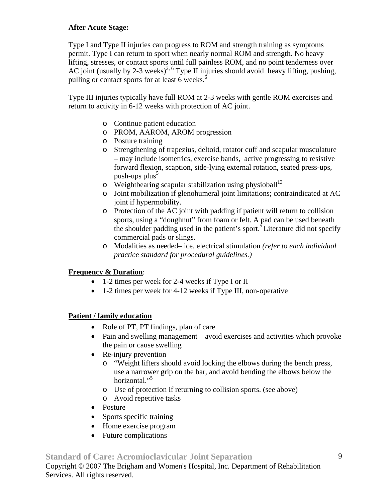## **After Acute Stage:**

Type I and Type II injuries can progress to ROM and strength training as symptoms permit. Type I can return to sport when nearly normal ROM and strength. No heavy lifting, stresses, or contact sports until full painless ROM, and no point tenderness over AC joint (usually by 2-3 weeks)<sup>2, 6</sup> Type II injuries should avoid heavy lifting, pushing, pulling or contact sports for at least 6 weeks.<sup>6</sup>

Type III injuries typically have full ROM at 2-3 weeks with gentle ROM exercises and return to activity in 6-12 weeks with protection of AC joint.

- o Continue patient education
- o PROM, AAROM, AROM progression
- o Posture training
- o Strengthening of trapezius, deltoid, rotator cuff and scapular musculature – may include isometrics, exercise bands, active progressing to resistive forward flexion, scaption, side-lying external rotation, seated press-ups, push-ups  $plus^5$
- $\circ$  Weightbearing scapular stabilization using physioball<sup>13</sup>
- o Joint mobilization if glenohumeral joint limitations; contraindicated at AC joint if hypermobility.
- o Protection of the AC joint with padding if patient will return to collision sports, using a "doughnut" from foam or felt. A pad can be used beneath the shoulder padding used in the patient's sport.<sup>5</sup> Literature did not specify commercial pads or slings.
- o Modalities as needed– ice, electrical stimulation *(refer to each individual practice standard for procedural guidelines.)*

## **Frequency & Duration**:

- 1-2 times per week for 2-4 weeks if Type I or II
- 1-2 times per week for 4-12 weeks if Type III, non-operative

## **Patient / family education**

- Role of PT, PT findings, plan of care
- Pain and swelling management avoid exercises and activities which provoke the pain or cause swelling
- Re-injury prevention
	- o "Weight lifters should avoid locking the elbows during the bench press, use a narrower grip on the bar, and avoid bending the elbows below the horizontal."<sup>5</sup>
	- o Use of protection if returning to collision sports. (see above)
	- o Avoid repetitive tasks
- Posture
- Sports specific training
- Home exercise program
- Future complications

## **Standard of Care: Acromioclavicular Joint Separation**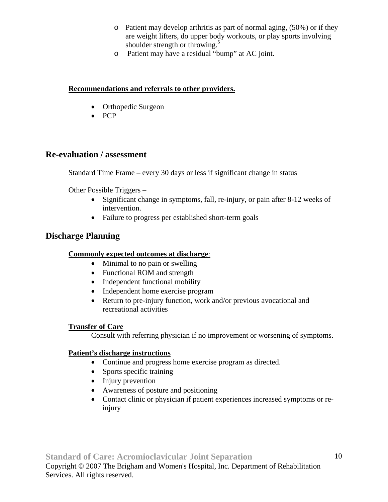- o Patient may develop arthritis as part of normal aging, (50%) or if they are weight lifters, do upper body workouts, or play sports involving shoulder strength or throwing.<sup>5</sup>
- o Patient may have a residual "bump" at AC joint.

## **Recommendations and referrals to other providers.**

- Orthopedic Surgeon
- PCP

# **Re-evaluation / assessment**

Standard Time Frame – every 30 days or less if significant change in status

Other Possible Triggers –

- Significant change in symptoms, fall, re-injury, or pain after 8-12 weeks of intervention.
- Failure to progress per established short-term goals

# **Discharge Planning**

## **Commonly expected outcomes at discharge**:

- Minimal to no pain or swelling
- Functional ROM and strength
- Independent functional mobility
- Independent home exercise program
- Return to pre-injury function, work and/or previous avocational and recreational activities

## **Transfer of Care**

Consult with referring physician if no improvement or worsening of symptoms.

## **Patient's discharge instructions**

- Continue and progress home exercise program as directed.
- Sports specific training
- Injury prevention
- Awareness of posture and positioning
- Contact clinic or physician if patient experiences increased symptoms or reinjury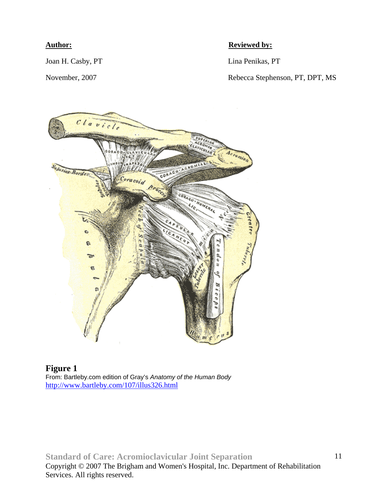Joan H. Casby, PT Lina Penikas, PT

## **Author: Reviewed by:**

November, 2007 Rebecca Stephenson, PT, DPT, MS



**Figure 1**  From: Bartleby.com edition of Gray's *Anatomy of the Human Body* http://www.bartleby.com/107/illus326.html

**Standard of Care: Acromioclavicular Joint Separation**  Copyright © 2007 The Brigham and Women's Hospital, Inc. Department of Rehabilitation Services. All rights reserved.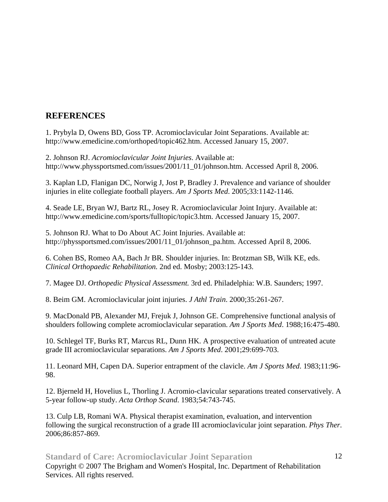# **REFERENCES**

1. Prybyla D, Owens BD, Goss TP. Acromioclavicular Joint Separations. Available at: http://www.emedicine.com/orthoped/topic462.htm. Accessed January 15, 2007.

2. Johnson RJ. *Acromioclavicular Joint Injuries*. Available at: http://www.physsportsmed.com/issues/2001/11\_01/johnson.htm. Accessed April 8, 2006.

3. Kaplan LD, Flanigan DC, Norwig J, Jost P, Bradley J. Prevalence and variance of shoulder injuries in elite collegiate football players. *Am J Sports Med*. 2005;33:1142-1146.

4. Seade LE, Bryan WJ, Bartz RL, Josey R. Acromioclavicular Joint Injury. Available at: http://www.emedicine.com/sports/fulltopic/topic3.htm. Accessed January 15, 2007.

5. Johnson RJ. What to Do About AC Joint Injuries. Available at: http://physsportsmed.com/issues/2001/11\_01/johnson\_pa.htm. Accessed April 8, 2006.

6. Cohen BS, Romeo AA, Bach Jr BR. Shoulder injuries. In: Brotzman SB, Wilk KE, eds. *Clinical Orthopaedic Rehabilitation.* 2nd ed. Mosby; 2003:125-143.

7. Magee DJ. *Orthopedic Physical Assessment.* 3rd ed. Philadelphia: W.B. Saunders; 1997.

8. Beim GM. Acromioclavicular joint injuries. *J Athl Train*. 2000;35:261-267.

9. MacDonald PB, Alexander MJ, Frejuk J, Johnson GE. Comprehensive functional analysis of shoulders following complete acromioclavicular separation. *Am J Sports Med*. 1988;16:475-480.

10. Schlegel TF, Burks RT, Marcus RL, Dunn HK. A prospective evaluation of untreated acute grade III acromioclavicular separations. *Am J Sports Med*. 2001;29:699-703.

11. Leonard MH, Capen DA. Superior entrapment of the clavicle. *Am J Sports Med*. 1983;11:96- 98.

12. Bjerneld H, Hovelius L, Thorling J. Acromio-clavicular separations treated conservatively. A 5-year follow-up study. *Acta Orthop Scand*. 1983;54:743-745.

13. Culp LB, Romani WA. Physical therapist examination, evaluation, and intervention following the surgical reconstruction of a grade III acromioclavicular joint separation. *Phys Ther*. 2006;86:857-869.

**Standard of Care: Acromioclavicular Joint Separation**  Copyright © 2007 The Brigham and Women's Hospital, Inc. Department of Rehabilitation Services. All rights reserved. 12